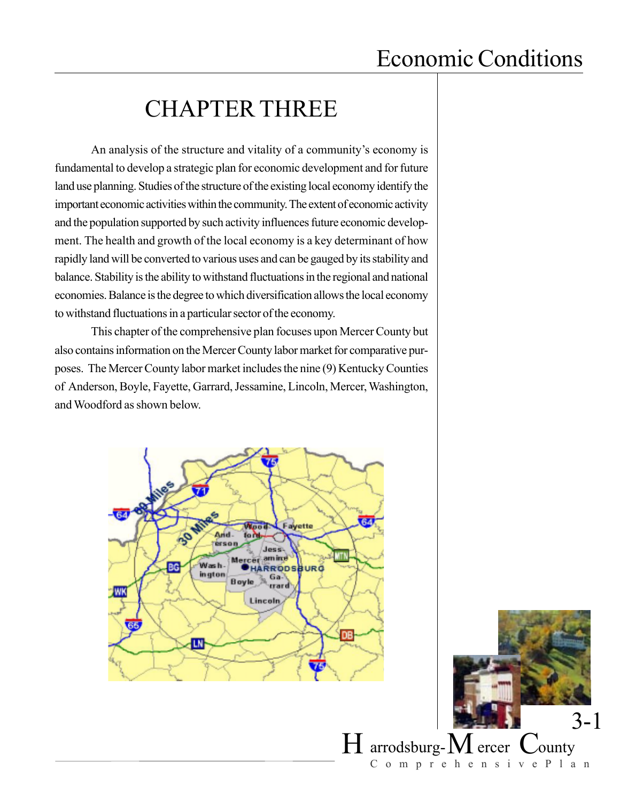# CHAPTER THREE

An analysis of the structure and vitality of a community's economy is fundamental to develop a strategic plan for economic development and for future land use planning. Studies of the structure of the existing local economy identify the important economic activities within the community. The extent of economic activity and the population supported by such activity influences future economic development. The health and growth of the local economy is a key determinant of how rapidly land will be converted to various uses and can be gauged by its stability and balance. Stability is the ability to withstand fluctuations in the regional and national economies. Balance is the degree to which diversification allows the local economy to withstand fluctuations in a particular sector of the economy.

This chapter of the comprehensive plan focuses upon Mercer County but also contains information on the Mercer County labor market for comparative purposes. The Mercer County labor market includes the nine (9) Kentucky Counties of Anderson, Boyle, Fayette, Garrard, Jessamine, Lincoln, Mercer, Washington, and Woodford as shown below.



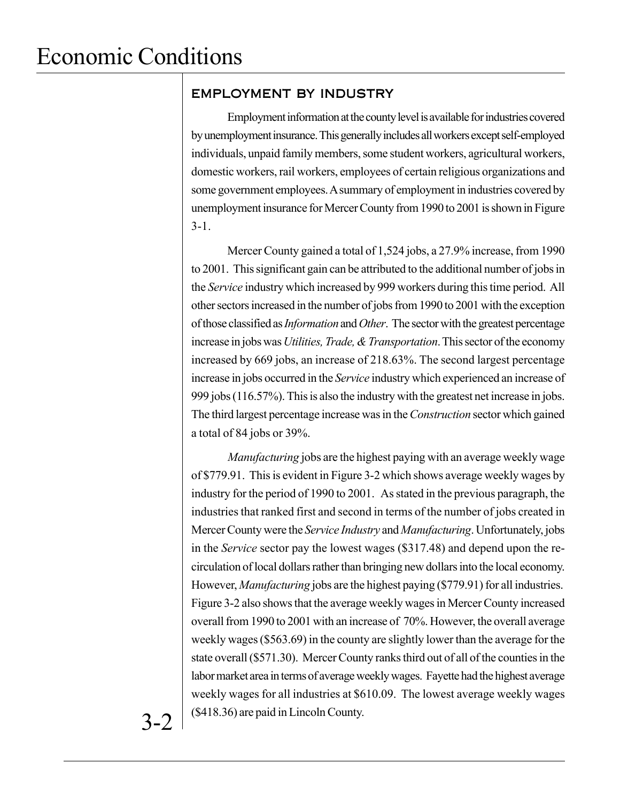### EMPLOYMENT BY INDUSTRY

Employment information at the county level is available for industries covered by unemployment insurance. This generally includes all workers except self-employed individuals, unpaid family members, some student workers, agricultural workers, domestic workers, rail workers, employees of certain religious organizations and some government employees. A summary of employment in industries covered by unemployment insurance for Mercer County from 1990 to 2001 is shown in Figure 3-1.

Mercer County gained a total of 1,524 jobs, a 27.9% increase, from 1990 to 2001. This significant gain can be attributed to the additional number of jobs in the *Service* industry which increased by 999 workers during this time period. All other sectors increased in the number of jobs from 1990 to 2001 with the exception of those classified as *Information* and *Other*. The sector with the greatest percentage increase in jobs was *Utilities, Trade, & Transportation*. This sector of the economy increased by 669 jobs, an increase of 218.63%. The second largest percentage increase in jobs occurred in the *Service* industry which experienced an increase of 999 jobs (116.57%). This is also the industry with the greatest net increase in jobs. The third largest percentage increase was in the *Construction* sector which gained a total of 84 jobs or 39%.

*Manufacturing* jobs are the highest paying with an average weekly wage of \$779.91. This is evident in Figure 3-2 which shows average weekly wages by industry for the period of 1990 to 2001. As stated in the previous paragraph, the industries that ranked first and second in terms of the number of jobs created in Mercer County were the *Service Industry* and *Manufacturing*. Unfortunately, jobs in the *Service* sector pay the lowest wages (\$317.48) and depend upon the recirculation of local dollars rather than bringing new dollars into the local economy. However, *Manufacturing* jobs are the highest paying (\$779.91) for all industries. Figure 3-2 also shows that the average weekly wages in Mercer County increased overall from 1990 to 2001 with an increase of 70%. However, the overall average weekly wages (\$563.69) in the county are slightly lower than the average for the state overall (\$571.30). Mercer County ranks third out of all of the counties in the labor market area in terms of average weekly wages. Fayette had the highest average weekly wages for all industries at \$610.09. The lowest average weekly wages (\$418.36) are paid in Lincoln County.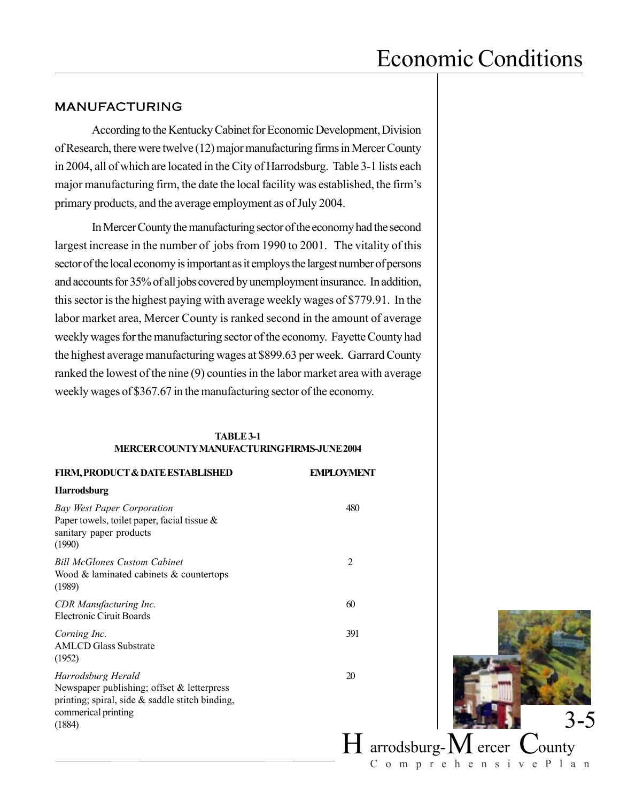#### MANUFACTURING

According to the Kentucky Cabinet for Economic Development, Division of Research, there were twelve (12) major manufacturing firms in Mercer County in 2004, all of which are located in the City of Harrodsburg. Table 3-1 lists each major manufacturing firm, the date the local facility was established, the firm's primary products, and the average employment as of July 2004.

In Mercer County the manufacturing sector of the economy had the second largest increase in the number of jobs from 1990 to 2001. The vitality of this sector of the local economy is important as it employs the largest number of persons and accounts for 35% of all jobs covered by unemployment insurance. In addition, this sector is the highest paying with average weekly wages of \$779.91. In the labor market area, Mercer County is ranked second in the amount of average weekly wages for the manufacturing sector of the economy. Fayette County had the highest average manufacturing wages at \$899.63 per week. Garrard County ranked the lowest of the nine (9) counties in the labor market area with average weekly wages of \$367.67 in the manufacturing sector of the economy.

#### **TABLE 3-1 MERCER COUNTY MANUFACTURING FIRMS-JUNE 2004**

| <b>FIRM, PRODUCT &amp; DATE ESTABLISHED</b>                                                                                                             | <b>EMPLOYMENT</b> |
|---------------------------------------------------------------------------------------------------------------------------------------------------------|-------------------|
| <b>Harrodsburg</b>                                                                                                                                      |                   |
| Bay West Paper Corporation<br>Paper towels, toilet paper, facial tissue $\&$<br>sanitary paper products<br>(1990)                                       | 480               |
| <b>Bill McGlones Custom Cabinet</b><br>Wood $\&$ laminated cabinets $\&$ countertops<br>(1989)                                                          | $\overline{2}$    |
| CDR Manufacturing Inc.<br><b>Electronic Ciruit Boards</b>                                                                                               | 60                |
| Corning Inc.<br><b>AMLCD</b> Glass Substrate<br>(1952)                                                                                                  | 391               |
| Harrodsburg Herald<br>Newspaper publishing; offset & letterpress<br>printing; spiral, side $\&$ saddle stitch binding,<br>commerical printing<br>(1884) | 20                |
|                                                                                                                                                         |                   |

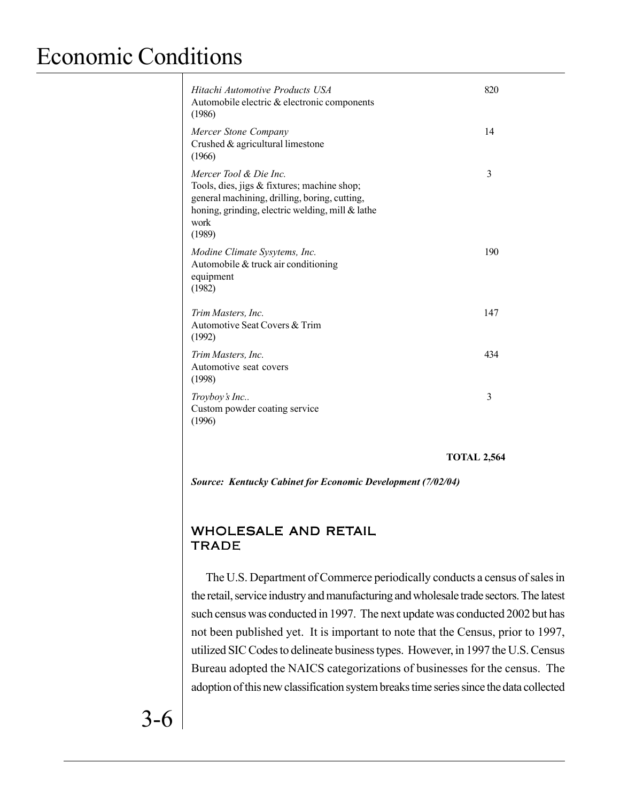| Hitachi Automotive Products USA<br>Automobile electric & electronic components<br>(1986)                                                                                                     | 820 |
|----------------------------------------------------------------------------------------------------------------------------------------------------------------------------------------------|-----|
| Mercer Stone Company<br>Crushed $&$ agricultural limestone<br>(1966)                                                                                                                         | 14  |
| Mercer Tool & Die Inc.<br>Tools, dies, jigs & fixtures; machine shop;<br>general machining, drilling, boring, cutting,<br>honing, grinding, electric welding, mill & lathe<br>work<br>(1989) | 3   |
| Modine Climate Sysytems, Inc.<br>Automobile $&$ truck air conditioning<br>equipment<br>(1982)                                                                                                | 190 |
| Trim Masters, Inc.<br>Automotive Seat Covers & Trim<br>(1992)                                                                                                                                | 147 |
| Trim Masters, Inc.<br>Automotive seat covers<br>(1998)                                                                                                                                       | 434 |
| Troyboy's Inc<br>Custom powder coating service<br>(1996)                                                                                                                                     | 3   |

**TOTAL 2,564**

*Source: Kentucky Cabinet for Economic Development (7/02/04)*

### WHOLESALE AND RETAIL **TRADE**

The U.S. Department of Commerce periodically conducts a census of sales in the retail, service industry and manufacturing and wholesale trade sectors. The latest such census was conducted in 1997. The next update was conducted 2002 but has not been published yet. It is important to note that the Census, prior to 1997, utilized SIC Codes to delineate business types. However, in 1997 the U.S. Census Bureau adopted the NAICS categorizations of businesses for the census. The adoption of this new classification system breaks time series since the data collected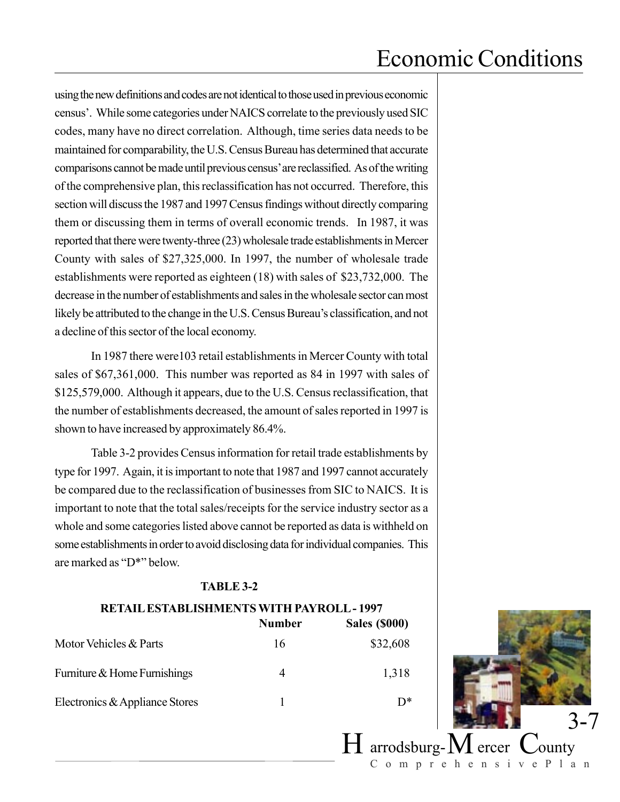using the new definitions and codes are not identical to those used in previous economic census'. While some categories under NAICS correlate to the previously used SIC codes, many have no direct correlation. Although, time series data needs to be maintained for comparability, the U.S. Census Bureau has determined that accurate comparisons cannot be made until previous census' are reclassified. As of the writing of the comprehensive plan, this reclassification has not occurred. Therefore, this section will discuss the 1987 and 1997 Census findings without directly comparing them or discussing them in terms of overall economic trends. In 1987, it was reported that there were twenty-three (23) wholesale trade establishments in Mercer County with sales of \$27,325,000. In 1997, the number of wholesale trade establishments were reported as eighteen (18) with sales of \$23,732,000. The decrease in the number of establishments and sales in the wholesale sector can most likely be attributed to the change in the U.S. Census Bureau's classification, and not a decline of this sector of the local economy.

In 1987 there were103 retail establishments in Mercer County with total sales of \$67,361,000. This number was reported as 84 in 1997 with sales of \$125,579,000. Although it appears, due to the U.S. Census reclassification, that the number of establishments decreased, the amount of sales reported in 1997 is shown to have increased by approximately 86.4%.

Table 3-2 provides Census information for retail trade establishments by type for 1997. Again, it is important to note that 1987 and 1997 cannot accurately be compared due to the reclassification of businesses from SIC to NAICS. It is important to note that the total sales/receipts for the service industry sector as a whole and some categories listed above cannot be reported as data is withheld on some establishments in order to avoid disclosing data for individual companies. This are marked as "D\*" below.

#### **TABLE 3-2**

| <b>RETAIL ESTABLISHMENTS WITH PAYROLL - 1997</b> |               |                      |
|--------------------------------------------------|---------------|----------------------|
|                                                  | <b>Number</b> | <b>Sales (\$000)</b> |
| Motor Vehicles & Parts                           | 16            | \$32,608             |
| Furniture & Home Furnishings                     | 4             | 1,318                |
| Electronics & Appliance Stores                   |               | D*                   |

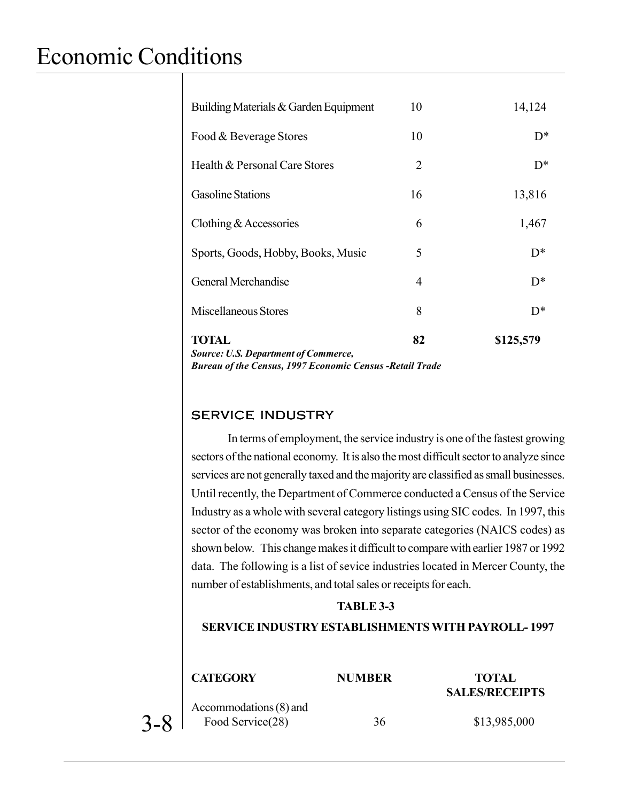| <b>Source: U.S. Department of Commerce,</b><br><b>Bureau of the Census, 1997 Economic Census - Retail Trade</b> |                |           |
|-----------------------------------------------------------------------------------------------------------------|----------------|-----------|
| <b>TOTAL</b>                                                                                                    | 82             | \$125,579 |
| Miscellaneous Stores                                                                                            | 8              | $D^*$     |
| General Merchandise                                                                                             | 4              | $D^*$     |
| Sports, Goods, Hobby, Books, Music                                                                              | 5              | $D^*$     |
| Clothing $&$ Accessories                                                                                        | 6              | 1,467     |
| <b>Gasoline Stations</b>                                                                                        | 16             | 13,816    |
| Health & Personal Care Stores                                                                                   | $\overline{2}$ | $D^*$     |
| Food & Beverage Stores                                                                                          | 10             | $D^*$     |
| Building Materials & Garden Equipment                                                                           | 10             | 14,124    |

### SERVICE INDUSTRY

In terms of employment, the service industry is one of the fastest growing sectors of the national economy. It is also the most difficult sector to analyze since services are not generally taxed and the majority are classified as small businesses. Until recently, the Department of Commerce conducted a Census of the Service Industry as a whole with several category listings using SIC codes. In 1997, this sector of the economy was broken into separate categories (NAICS codes) as shown below. This change makes it difficult to compare with earlier 1987 or 1992 data. The following is a list of sevice industries located in Mercer County, the number of establishments, and total sales or receipts for each.

#### **TABLE 3-3**

#### **SERVICE INDUSTRY ESTABLISHMENTS WITH PAYROLL- 1997**

|         | <b>CATEGORY</b>                            | <b>NUMBER</b> | <b>TOTAL</b><br><b>SALES/RECEIPTS</b> |
|---------|--------------------------------------------|---------------|---------------------------------------|
| $3 - 8$ | Accommodations (8) and<br>Food Service(28) | 36            | \$13,985,000                          |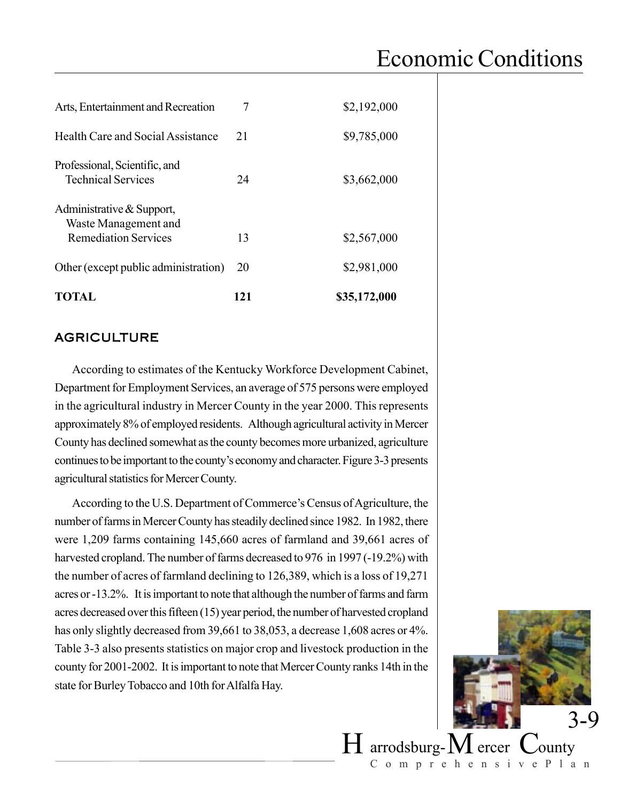| Arts, Entertainment and Recreation                         | 7   | \$2,192,000  |
|------------------------------------------------------------|-----|--------------|
| Health Care and Social Assistance                          | 21  | \$9,785,000  |
| Professional, Scientific, and<br><b>Technical Services</b> | 24  | \$3,662,000  |
| Administrative & Support,<br>Waste Management and          |     |              |
| <b>Remediation Services</b>                                | 13  | \$2,567,000  |
| Other (except public administration)                       | 20  | \$2,981,000  |
| TOTAL                                                      | 121 | \$35,172,000 |

### AGRICULTURE

According to estimates of the Kentucky Workforce Development Cabinet, Department for Employment Services, an average of 575 persons were employed in the agricultural industry in Mercer County in the year 2000. This represents approximately 8% of employed residents. Although agricultural activity in Mercer County has declined somewhat as the county becomes more urbanized, agriculture continues to be important to the county's economy and character. Figure 3-3 presents agricultural statistics for Mercer County.

According to the U.S. Department of Commerce's Census of Agriculture, the number of farms in Mercer County has steadily declined since 1982. In 1982, there were 1,209 farms containing 145,660 acres of farmland and 39,661 acres of harvested cropland. The number of farms decreased to 976 in 1997 (-19.2%) with the number of acres of farmland declining to 126,389, which is a loss of 19,271 acres or -13.2%. It is important to note that although the number of farms and farm acres decreased over this fifteen (15) year period, the number of harvested cropland has only slightly decreased from 39,661 to 38,053, a decrease 1,608 acres or 4%. Table 3-3 also presents statistics on major crop and livestock production in the county for 2001-2002. It is important to note that Mercer County ranks 14th in the state for Burley Tobacco and 10th for Alfalfa Hay.

![](_page_6_Picture_5.jpeg)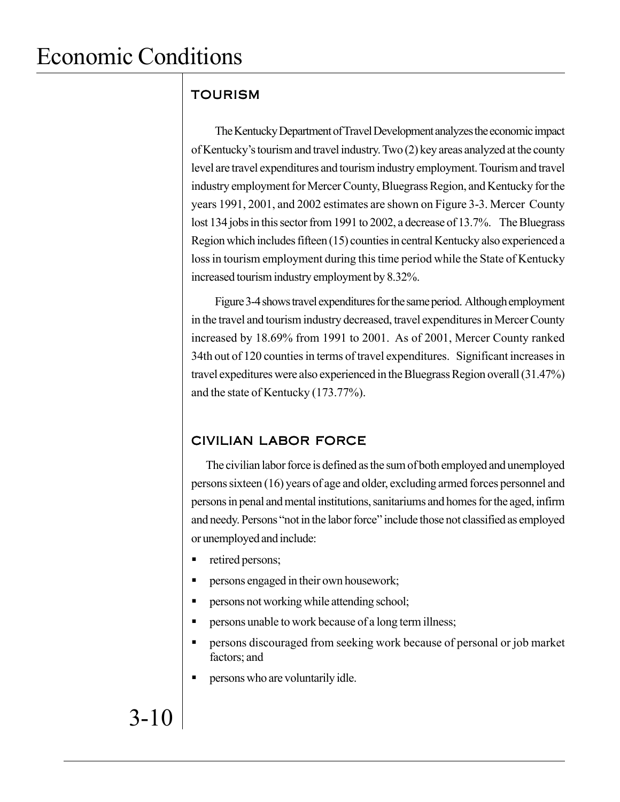### TOURISM

The Kentucky Department of Travel Development analyzes the economic impact of Kentucky's tourism and travel industry. Two (2) key areas analyzed at the county level are travel expenditures and tourism industry employment. Tourism and travel industry employment for Mercer County, Bluegrass Region, and Kentucky for the years 1991, 2001, and 2002 estimates are shown on Figure 3-3. Mercer County lost 134 jobs in this sector from 1991 to 2002, a decrease of 13.7%. The Bluegrass Region which includes fifteen (15) counties in central Kentucky also experienced a loss in tourism employment during this time period while the State of Kentucky increased tourism industry employment by 8.32%.

Figure 3-4 shows travel expenditures for the same period. Although employment in the travel and tourism industry decreased, travel expenditures in Mercer County increased by 18.69% from 1991 to 2001. As of 2001, Mercer County ranked 34th out of 120 counties in terms of travel expenditures. Significant increases in travel expeditures were also experienced in the Bluegrass Region overall (31.47%) and the state of Kentucky (173.77%).

### CIVILIAN LABOR FORCE

The civilian labor force is defined as the sum of both employed and unemployed persons sixteen (16) years of age and older, excluding armed forces personnel and persons in penal and mental institutions, sanitariums and homes for the aged, infirm and needy. Persons "not in the labor force" include those not classified as employed or unemployed and include:

- retired persons;
- persons engaged in their own housework;
- **Persons not working while attending school;**
- persons unable to work because of a long term illness;
- persons discouraged from seeking work because of personal or job market factors; and
- persons who are voluntarily idle.

# 3-10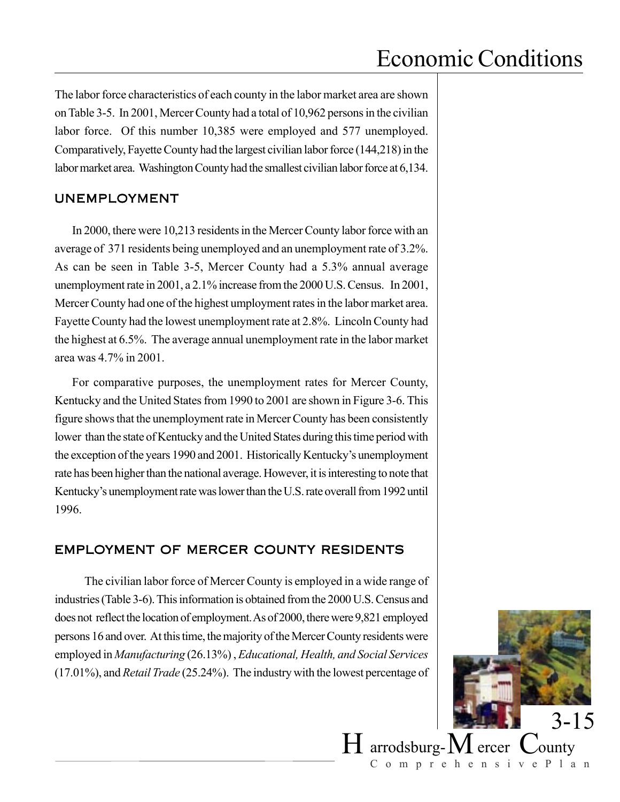The labor force characteristics of each county in the labor market area are shown on Table 3-5. In 2001, Mercer County had a total of 10,962 persons in the civilian labor force. Of this number 10,385 were employed and 577 unemployed. Comparatively, Fayette County had the largest civilian labor force (144,218) in the labor market area. Washington County had the smallest civilian labor force at 6,134.

#### UNEMPLOYMENT

In 2000, there were 10,213 residents in the Mercer County labor force with an average of 371 residents being unemployed and an unemployment rate of 3.2%. As can be seen in Table 3-5, Mercer County had a 5.3% annual average unemployment rate in 2001, a 2.1% increase from the 2000 U.S. Census. In 2001, Mercer County had one of the highest umployment rates in the labor market area. Fayette County had the lowest unemployment rate at 2.8%. Lincoln County had the highest at 6.5%. The average annual unemployment rate in the labor market area was 4.7% in 2001.

For comparative purposes, the unemployment rates for Mercer County, Kentucky and the United States from 1990 to 2001 are shown in Figure 3-6. This figure shows that the unemployment rate in Mercer County has been consistently lower than the state of Kentucky and the United States during this time period with the exception of the years 1990 and 2001. Historically Kentucky's unemployment rate has been higher than the national average. However, it is interesting to note that Kentucky's unemployment rate was lower than the U.S. rate overall from 1992 until 1996.

### EMPLOYMENT OF MERCER COUNTY RESIDENTS

The civilian labor force of Mercer County is employed in a wide range of industries (Table 3-6). This information is obtained from the 2000 U.S. Census and does not reflect the location of employment. As of 2000, there were 9,821 employed persons 16 and over. At this time, the majority of the Mercer County residents were employed in *Manufacturing* (26.13%) , *Educational, Health, and Social Services* (17.01%), and *Retail Trade* (25.24%). The industry with the lowest percentage of

![](_page_8_Picture_7.jpeg)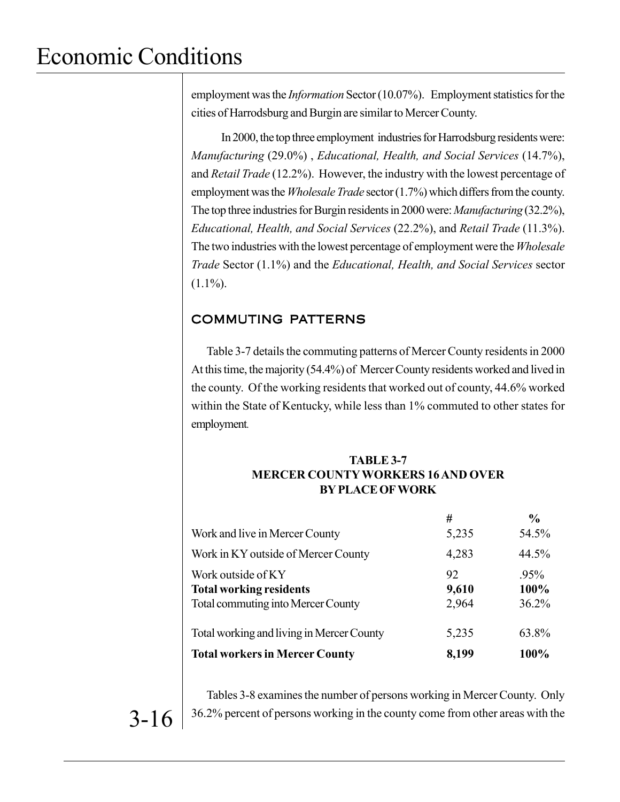employment was the *Information* Sector (10.07%). Employment statistics for the cities of Harrodsburg and Burgin are similar to Mercer County.

In 2000, the top three employment industries for Harrodsburg residents were: *Manufacturing* (29.0%) , *Educational, Health, and Social Services* (14.7%), and *Retail Trade* (12.2%). However, the industry with the lowest percentage of employment was the *Wholesale Trade* sector (1.7%) which differs from the county. The top three industries for Burgin residents in 2000 were: *Manufacturing* (32.2%), *Educational, Health, and Social Services* (22.2%), and *Retail Trade* (11.3%). The two industries with the lowest percentage of employment were the *Wholesale Trade* Sector (1.1%) and the *Educational, Health, and Social Services* sector  $(1.1\%)$ .

### COMMUTING PATTERNS

Table 3-7 details the commuting patterns of Mercer County residents in 2000 At this time, the majority (54.4%) of Mercer County residents worked and lived in the county. Of the working residents that worked out of county, 44.6% worked within the State of Kentucky, while less than 1% commuted to other states for employment.

#### **TABLE 3-7 MERCER COUNTY WORKERS 16 AND OVER BY PLACE OF WORK**

|                                                                                                   | #                    | $\frac{0}{0}$        |
|---------------------------------------------------------------------------------------------------|----------------------|----------------------|
| Work and live in Mercer County                                                                    | 5,235                | 54.5%                |
| Work in KY outside of Mercer County                                                               | 4,283                | 44.5%                |
| Work outside of KY<br><b>Total working residents</b><br><b>Total commuting into Mercer County</b> | 92<br>9,610<br>2,964 | 95%<br>100%<br>36.2% |
| Total working and living in Mercer County                                                         | 5,235                | 63.8%                |
| <b>Total workers in Mercer County</b>                                                             | 8,199                | 100%                 |

Tables 3-8 examines the number of persons working in Mercer County. Only 36.2% percent of persons working in the county come from other areas with the

3-16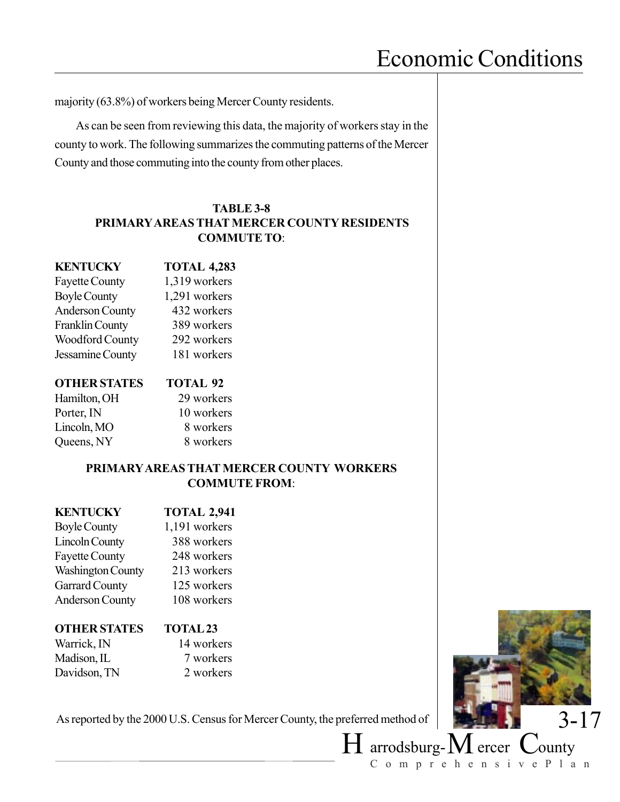majority (63.8%) of workers being Mercer County residents.

As can be seen from reviewing this data, the majority of workers stay in the county to work. The following summarizes the commuting patterns of the Mercer County and those commuting into the county from other places.

#### **TABLE 3-8 PRIMARY AREAS THAT MERCER COUNTY RESIDENTS COMMUTE TO**:

#### **KOTAL 4,283**

Fayette County 1,319 workers Boyle County 1,291 workers Anderson County 432 workers Franklin County 389 workers Woodford County 292 workers Jessamine County 181 workers

#### **OTHER STATES TOTAL 92**

| Hamilton, OH |  |
|--------------|--|
| Porter, IN   |  |
| Lincoln, MO  |  |
| Queens, NY   |  |

29 workers 10 workers 8 workers 8 workers

#### **PRIMARY AREAS THAT MERCER COUNTY WORKERS COMMUTE FROM**:

#### **KENTUCKY TOTAL 2,941**

| <b>Boyle County</b>      | 1,191 workers |
|--------------------------|---------------|
| <b>Lincoln County</b>    | 388 workers   |
| <b>Fayette County</b>    | 248 workers   |
| <b>Washington County</b> | 213 workers   |
| <b>Garrard County</b>    | 125 workers   |
| <b>Anderson County</b>   | 108 workers   |

#### **OTHER STATES TOTAL 23**

Warrick, IN 14 workers Madison, IL 7 workers Davidson, TN 2 workers

3-17

 $H$  arrodsburg- $M$  ercer  $C$ ounty

ComprehensivePlan

As reported by the 2000 U.S. Census for Mercer County, the preferred method of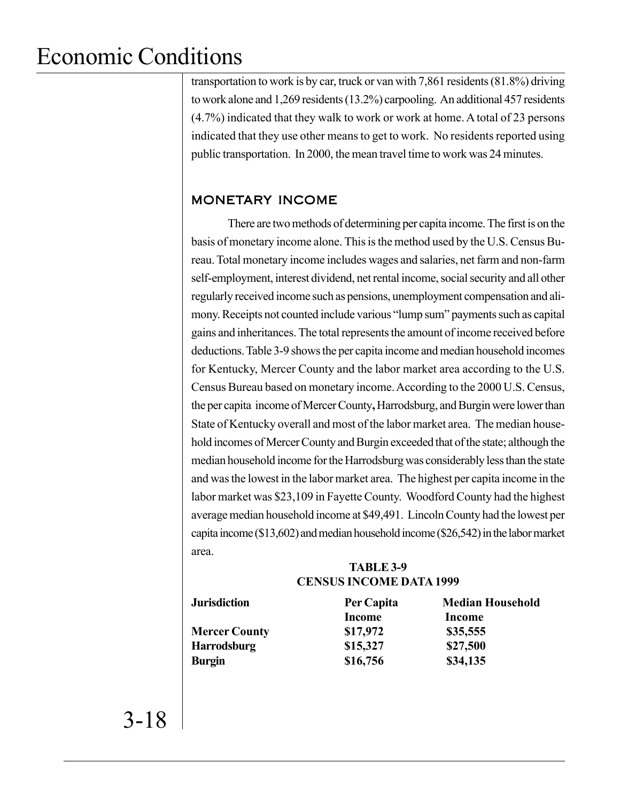transportation to work is by car, truck or van with 7,861 residents (81.8%) driving to work alone and 1,269 residents (13.2%) carpooling. An additional 457 residents (4.7%) indicated that they walk to work or work at home. A total of 23 persons indicated that they use other means to get to work. No residents reported using public transportation. In 2000, the mean travel time to work was 24 minutes.

### MONETARY INCOME

There are two methods of determining per capita income. The first is on the basis of monetary income alone. This is the method used by the U.S. Census Bureau. Total monetary income includes wages and salaries, net farm and non-farm self-employment, interest dividend, net rental income, social security and all other regularly received income such as pensions, unemployment compensation and alimony. Receipts not counted include various "lump sum" payments such as capital gains and inheritances. The total represents the amount of income received before deductions. Table 3-9 shows the per capita income and median household incomes for Kentucky, Mercer County and the labor market area according to the U.S. Census Bureau based on monetary income. According to the 2000 U.S. Census, the per capita income of Mercer County**,** Harrodsburg, and Burgin were lower than State of Kentucky overall and most of the labor market area. The median household incomes of Mercer County and Burgin exceeded that of the state; although the median household income for the Harrodsburg was considerably less than the state and was the lowest in the labor market area. The highest per capita income in the labor market was \$23,109 in Fayette County. Woodford County had the highest average median household income at \$49,491. Lincoln County had the lowest per capita income (\$13,602) and median household income (\$26,542) in the labor market area.

#### **TABLE 3-9 CENSUS INCOME DATA 1999**

| Per Capita    | <b>Median Household</b> |
|---------------|-------------------------|
| <b>Income</b> | Income                  |
| \$17,972      | \$35,555                |
| \$15,327      | \$27,500                |
| \$16,756      | \$34,135                |
|               |                         |

3-18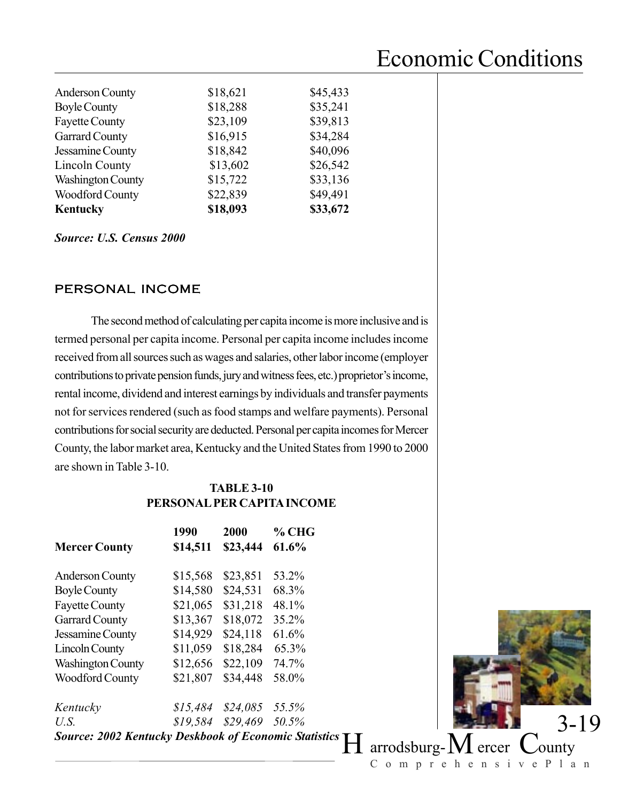| \$49,491 |
|----------|
|          |
| \$33,136 |
| \$26,542 |
| \$40,096 |
| \$34,284 |
| \$39,813 |
| \$35,241 |
| \$45,433 |
|          |

*Source: U.S. Census 2000*

### PERSONAL INCOME

The second method of calculating per capita income is more inclusive and is termed personal per capita income. Personal per capita income includes income received from all sources such as wages and salaries, other labor income (employer contributions to private pension funds, jury and witness fees, etc.) proprietor's income, rental income, dividend and interest earnings by individuals and transfer payments not for services rendered (such as food stamps and welfare payments). Personal contributions for social security are deducted. Personal per capita incomes for Mercer County, the labor market area, Kentucky and the United States from 1990 to 2000 are shown in Table 3-10.

#### **TABLE 3-10 PERSONAL PER CAPITA INCOME**

| <b>Mercer County</b>                                         | 1990<br>\$14,511 | 2000<br>\$23,444 | $%$ CHG<br>61.6% |
|--------------------------------------------------------------|------------------|------------------|------------------|
| <b>Anderson County</b>                                       | \$15,568         | \$23,851         | 53.2%            |
| <b>Boyle County</b>                                          | \$14,580         | \$24,531         | 68.3%            |
| <b>Fayette County</b>                                        | \$21,065         | \$31,218         | 48.1%            |
| <b>Garrard County</b>                                        | \$13,367         | \$18,072         | 35.2%            |
| Jessamine County                                             | \$14,929         | \$24,118         | 61.6%            |
| <b>Lincoln County</b>                                        | \$11,059         | \$18,284         | 65.3%            |
| <b>Washington County</b>                                     | \$12,656         | \$22,109         | 74.7%            |
| <b>Woodford County</b>                                       | \$21,807         | \$34,448         | 58.0%            |
| Kentucky                                                     | \$15,484         | $$24,085$ 55.5%  |                  |
| U.S.                                                         | \$19,584         | \$29,469 50.5%   |                  |
| <b>Source: 2002 Kentucky Deskbook of Economic Statistics</b> |                  |                  |                  |

![](_page_12_Picture_7.jpeg)

 $^{\circ}H$  arrodsburg- $M$  ercer  $\degree$  County ComprehensivePlan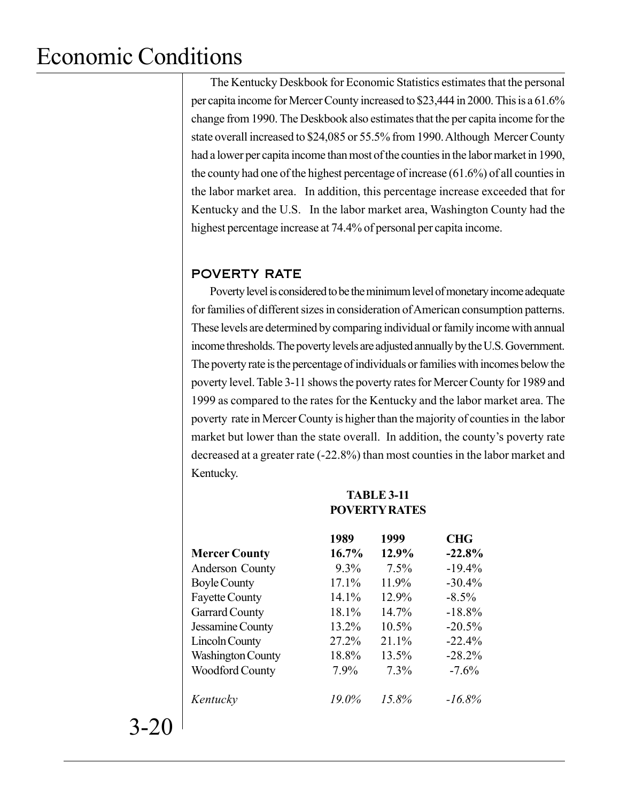The Kentucky Deskbook for Economic Statistics estimates that the personal per capita income for Mercer County increased to \$23,444 in 2000. This is a 61.6% change from 1990. The Deskbook also estimates that the per capita income for the state overall increased to \$24,085 or 55.5% from 1990. Although Mercer County had a lower per capita income than most of the counties in the labor market in 1990, the county had one of the highest percentage of increase (61.6%) of all counties in the labor market area. In addition, this percentage increase exceeded that for Kentucky and the U.S. In the labor market area, Washington County had the highest percentage increase at 74.4% of personal per capita income.

### POVERTY RATE

Poverty level is considered to be the minimum level of monetary income adequate for families of different sizes in consideration of American consumption patterns. These levels are determined by comparing individual or family income with annual income thresholds. The poverty levels are adjusted annually by the U.S. Government. The poverty rate is the percentage of individuals or families with incomes below the poverty level. Table 3-11 shows the poverty rates for Mercer County for 1989 and 1999 as compared to the rates for the Kentucky and the labor market area. The poverty rate in Mercer County is higher than the majority of counties in the labor market but lower than the state overall. In addition, the county's poverty rate decreased at a greater rate (-22.8%) than most counties in the labor market and Kentucky.

|                          | 1989    | 1999     | <b>CHG</b> |
|--------------------------|---------|----------|------------|
| <b>Mercer County</b>     | 16.7%   | 12.9%    | $-22.8%$   |
| Anderson County          | $9.3\%$ | 7.5%     | $-19.4%$   |
| <b>Boyle County</b>      | 17.1%   | 11.9%    | $-30.4%$   |
| <b>Fayette County</b>    | 14.1%   | 12.9%    | $-8.5\%$   |
| <b>Garrard County</b>    | 18.1%   | 14.7%    | $-18.8%$   |
| Jessamine County         | 13.2%   | $10.5\%$ | $-20.5%$   |
| <b>Lincoln County</b>    | 27.2%   | 21.1%    | $-22.4%$   |
| <b>Washington County</b> | 18.8%   | 13.5%    | $-28.2%$   |
| <b>Woodford County</b>   | 7.9%    | $7.3\%$  | $-7.6%$    |
| Kentucky                 | 19.0%   | 15.8%    | $-16.8\%$  |

**TABLE 3-11 POVERTY RATES**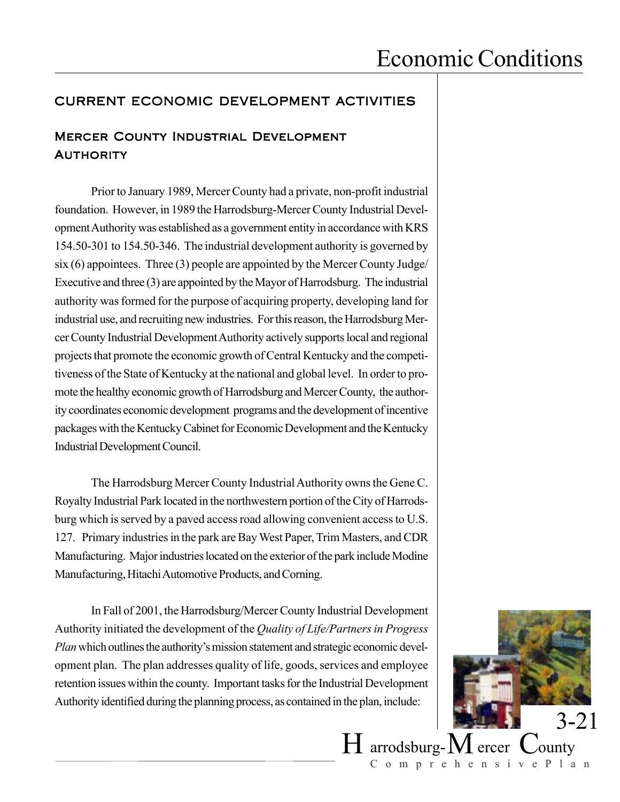### CURRENT ECONOMIC DEVELOPMENT ACTIVITIES

### Mercer County Industrial Development **AUTHORITY**

Prior to January 1989, Mercer County had a private, non-profit industrial foundation. However, in 1989 the Harrodsburg-Mercer County Industrial Development Authority was established as a government entity in accordance with KRS 154.50-301 to 154.50-346. The industrial development authority is governed by six (6) appointees. Three (3) people are appointed by the Mercer County Judge/ Executive and three (3) are appointed by the Mayor of Harrodsburg. The industrial authority was formed for the purpose of acquiring property, developing land for industrial use, and recruiting new industries. For this reason, the Harrodsburg Mercer County Industrial Development Authority actively supports local and regional projects that promote the economic growth of Central Kentucky and the competitiveness of the State of Kentucky at the national and global level. In order to promote the healthy economic growth of Harrodsburg and Mercer County, the authority coordinates economic development programs and the development of incentive packages with the Kentucky Cabinet for Economic Development and the Kentucky Industrial Development Council.

The Harrodsburg Mercer County Industrial Authority owns the Gene C. Royalty Industrial Park located in the northwestern portion of the City of Harrodsburg which is served by a paved access road allowing convenient access to U.S. 127. Primary industries in the park are Bay West Paper, Trim Masters, and CDR Manufacturing. Major industries located on the exterior of the park include Modine Manufacturing, Hitachi Automotive Products, and Corning.

In Fall of 2001, the Harrodsburg/Mercer County Industrial Development Authority initiated the development of the *Quality of Life/Partners in Progress Plan* which outlines the authority's mission statement and strategic economic development plan. The plan addresses quality of life, goods, services and employee retention issues within the county. Important tasks for the Industrial Development Authority identified during the planning process, as contained in the plan, include:

![](_page_14_Picture_6.jpeg)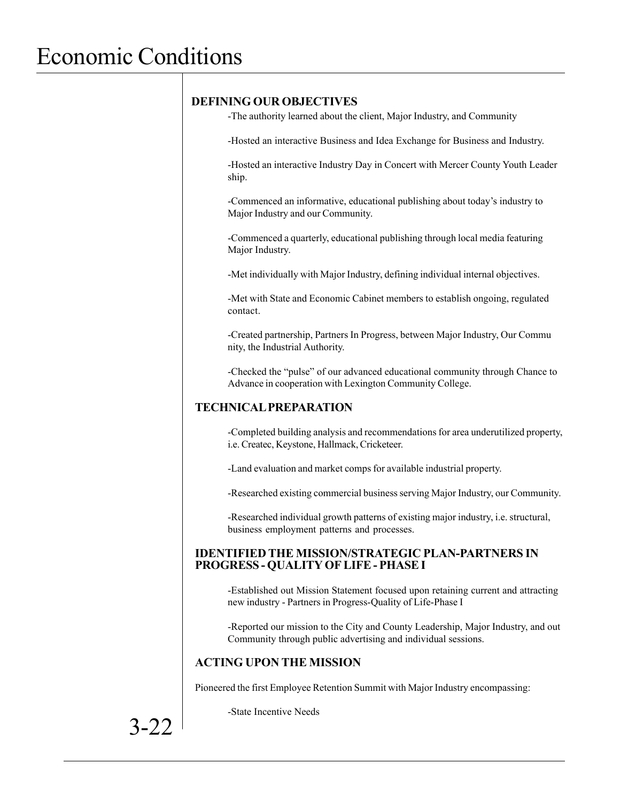#### **DEFINING OUR OBJECTIVES**

-The authority learned about the client, Major Industry, and Community

-Hosted an interactive Business and Idea Exchange for Business and Industry.

-Hosted an interactive Industry Day in Concert with Mercer County Youth Leader ship.

-Commenced an informative, educational publishing about today's industry to Major Industry and our Community.

-Commenced a quarterly, educational publishing through local media featuring Major Industry.

-Met individually with Major Industry, defining individual internal objectives.

-Met with State and Economic Cabinet members to establish ongoing, regulated contact.

-Created partnership, Partners In Progress, between Major Industry, Our Commu nity, the Industrial Authority.

-Checked the "pulse" of our advanced educational community through Chance to Advance in cooperation with Lexington Community College.

#### **TECHNICAL PREPARATION**

-Completed building analysis and recommendations for area underutilized property, i.e. Createc, Keystone, Hallmack, Cricketeer.

-Land evaluation and market comps for available industrial property.

-Researched existing commercial business serving Major Industry, our Community.

-Researched individual growth patterns of existing major industry, i.e. structural, business employment patterns and processes.

#### **IDENTIFIED THE MISSION/STRATEGIC PLAN-PARTNERS IN PROGRESS - QUALITY OF LIFE - PHASE I**

-Established out Mission Statement focused upon retaining current and attracting new industry - Partners in Progress-Quality of Life-Phase I

-Reported our mission to the City and County Leadership, Major Industry, and out Community through public advertising and individual sessions.

### **ACTING UPON THE MISSION**

Pioneered the first Employee Retention Summit with Major Industry encompassing:

-State Incentive Needs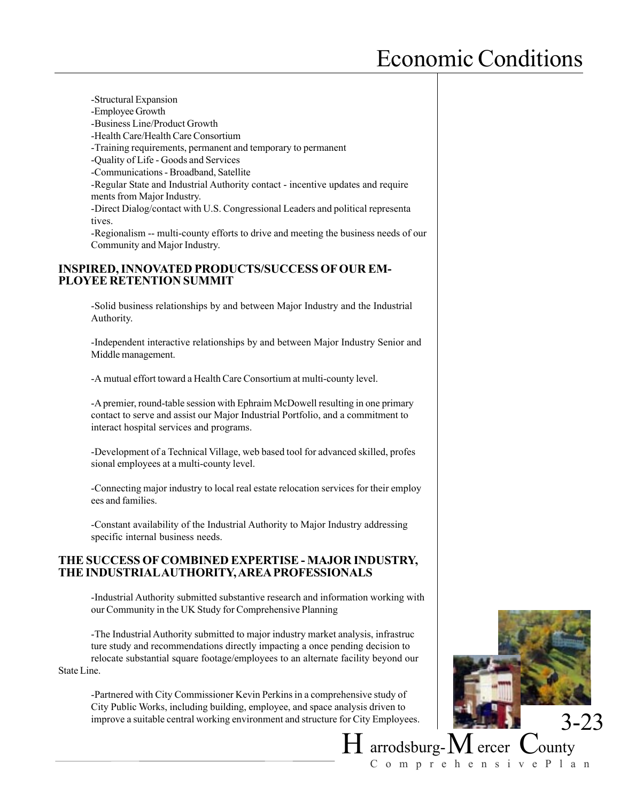-Structural Expansion -Employee Growth -Business Line/Product Growth -Health Care/Health Care Consortium -Training requirements, permanent and temporary to permanent -Quality of Life - Goods and Services -Communications - Broadband, Satellite -Regular State and Industrial Authority contact - incentive updates and require ments from Major Industry. -Direct Dialog/contact with U.S. Congressional Leaders and political representa tives. -Regionalism -- multi-county efforts to drive and meeting the business needs of our Community and Major Industry.

#### **INSPIRED, INNOVATED PRODUCTS/SUCCESS OF OUR EM-PLOYEE RETENTION SUMMIT**

-Solid business relationships by and between Major Industry and the Industrial Authority.

-Independent interactive relationships by and between Major Industry Senior and Middle management.

-A mutual effort toward a Health Care Consortium at multi-county level.

-A premier, round-table session with Ephraim McDowell resulting in one primary contact to serve and assist our Major Industrial Portfolio, and a commitment to interact hospital services and programs.

-Development of a Technical Village, web based tool for advanced skilled, profes sional employees at a multi-county level.

-Connecting major industry to local real estate relocation services for their employ ees and families.

-Constant availability of the Industrial Authority to Major Industry addressing specific internal business needs.

#### **THE SUCCESS OF COMBINED EXPERTISE - MAJOR INDUSTRY, THE INDUSTRIAL AUTHORITY, AREA PROFESSIONALS**

-Industrial Authority submitted substantive research and information working with our Community in the UK Study for Comprehensive Planning

-The Industrial Authority submitted to major industry market analysis, infrastruc ture study and recommendations directly impacting a once pending decision to relocate substantial square footage/employees to an alternate facility beyond our State Line.

-Partnered with City Commissioner Kevin Perkins in a comprehensive study of City Public Works, including building, employee, and space analysis driven to improve a suitable central working environment and structure for City Employees.

![](_page_16_Picture_14.jpeg)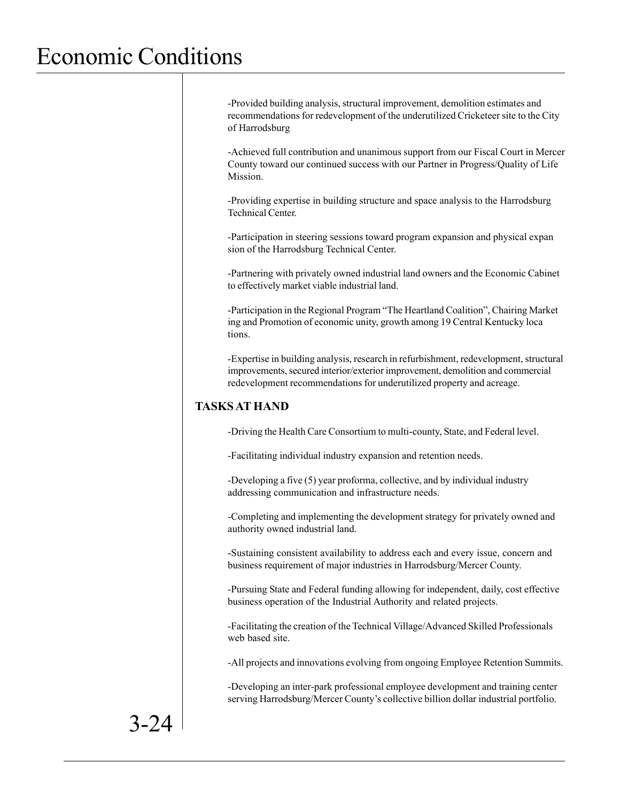-Provided building analysis, structural improvement, demolition estimates and recommendations for redevelopment of the underutilized Cricketeer site to the City of Harrodsburg

-Achieved full contribution and unanimous support from our Fiscal Court in Mercer County toward our continued success with our Partner in Progress/Quality of Life Mission.

-Providing expertise in building structure and space analysis to the Harrodsburg Technical Center.

-Participation in steering sessions toward program expansion and physical expan sion of the Harrodsburg Technical Center.

-Partnering with privately owned industrial land owners and the Economic Cabinet to effectively market viable industrial land.

-Participation in the Regional Program "The Heartland Coalition", Chairing Market ing and Promotion of economic unity, growth among 19 Central Kentucky loca tions.

-Expertise in building analysis, research in refurbishment, redevelopment, structural improvements, secured interior/exterior improvement, demolition and commercial redevelopment recommendations for underutilized property and acreage.

#### **TASKS AT HAND**

-Driving the Health Care Consortium to multi-county, State, and Federal level.

-Facilitating individual industry expansion and retention needs.

-Developing a five (5) year proforma, collective, and by individual industry addressing communication and infrastructure needs.

-Completing and implementing the development strategy for privately owned and authority owned industrial land.

-Sustaining consistent availability to address each and every issue, concern and business requirement of major industries in Harrodsburg/Mercer County.

-Pursuing State and Federal funding allowing for independent, daily, cost effective business operation of the Industrial Authority and related projects.

-Facilitating the creation of the Technical Village/Advanced Skilled Professionals web based site.

-All projects and innovations evolving from ongoing Employee Retention Summits.

-Developing an inter-park professional employee development and training center serving Harrodsburg/Mercer County's collective billion dollar industrial portfolio.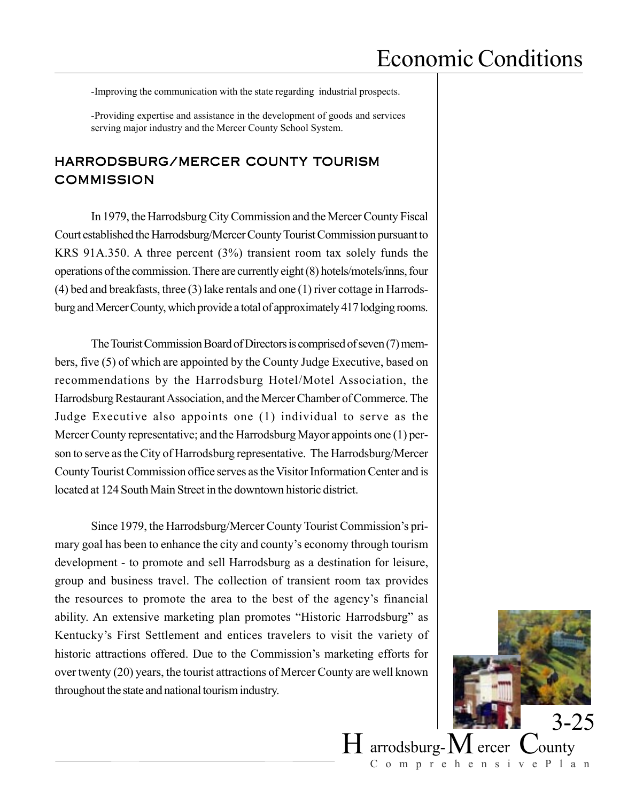-Improving the communication with the state regarding industrial prospects.

-Providing expertise and assistance in the development of goods and services serving major industry and the Mercer County School System.

### HARRODSBURG/MERCER COUNTY TOURISM **COMMISSION**

In 1979, the Harrodsburg City Commission and the Mercer County Fiscal Court established the Harrodsburg/Mercer County Tourist Commission pursuant to KRS 91A.350. A three percent (3%) transient room tax solely funds the operations of the commission. There are currently eight (8) hotels/motels/inns, four (4) bed and breakfasts, three (3) lake rentals and one (1) river cottage in Harrodsburg and Mercer County, which provide a total of approximately 417 lodging rooms.

The Tourist Commission Board of Directors is comprised of seven (7) members, five (5) of which are appointed by the County Judge Executive, based on recommendations by the Harrodsburg Hotel/Motel Association, the Harrodsburg Restaurant Association, and the Mercer Chamber of Commerce. The Judge Executive also appoints one (1) individual to serve as the Mercer County representative; and the Harrodsburg Mayor appoints one (1) person to serve as the City of Harrodsburg representative. The Harrodsburg/Mercer County Tourist Commission office serves as the Visitor Information Center and is located at 124 South Main Street in the downtown historic district.

Since 1979, the Harrodsburg/Mercer County Tourist Commission's primary goal has been to enhance the city and county's economy through tourism development - to promote and sell Harrodsburg as a destination for leisure, group and business travel. The collection of transient room tax provides the resources to promote the area to the best of the agency's financial ability. An extensive marketing plan promotes "Historic Harrodsburg" as Kentucky's First Settlement and entices travelers to visit the variety of historic attractions offered. Due to the Commission's marketing efforts for over twenty (20) years, the tourist attractions of Mercer County are well known throughout the state and national tourism industry.

![](_page_18_Picture_7.jpeg)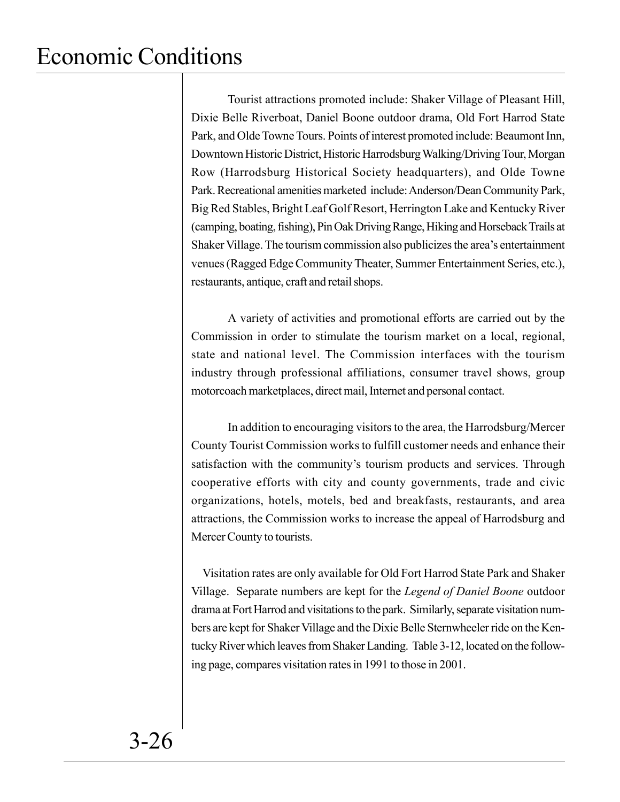Tourist attractions promoted include: Shaker Village of Pleasant Hill, Dixie Belle Riverboat, Daniel Boone outdoor drama, Old Fort Harrod State Park, and Olde Towne Tours. Points of interest promoted include: Beaumont Inn, Downtown Historic District, Historic Harrodsburg Walking/Driving Tour, Morgan Row (Harrodsburg Historical Society headquarters), and Olde Towne Park. Recreational amenities marketed include: Anderson/Dean Community Park, Big Red Stables, Bright Leaf Golf Resort, Herrington Lake and Kentucky River (camping, boating, fishing), Pin Oak Driving Range, Hiking and Horseback Trails at Shaker Village. The tourism commission also publicizes the area's entertainment venues (Ragged Edge Community Theater, Summer Entertainment Series, etc.), restaurants, antique, craft and retail shops.

A variety of activities and promotional efforts are carried out by the Commission in order to stimulate the tourism market on a local, regional, state and national level. The Commission interfaces with the tourism industry through professional affiliations, consumer travel shows, group motorcoach marketplaces, direct mail, Internet and personal contact.

In addition to encouraging visitors to the area, the Harrodsburg/Mercer County Tourist Commission works to fulfill customer needs and enhance their satisfaction with the community's tourism products and services. Through cooperative efforts with city and county governments, trade and civic organizations, hotels, motels, bed and breakfasts, restaurants, and area attractions, the Commission works to increase the appeal of Harrodsburg and Mercer County to tourists.

 Visitation rates are only available for Old Fort Harrod State Park and Shaker Village. Separate numbers are kept for the *Legend of Daniel Boone* outdoor drama at Fort Harrod and visitations to the park. Similarly, separate visitation numbers are kept for Shaker Village and the Dixie Belle Sternwheeler ride on the Kentucky River which leaves from Shaker Landing. Table 3-12, located on the following page, compares visitation rates in 1991 to those in 2001.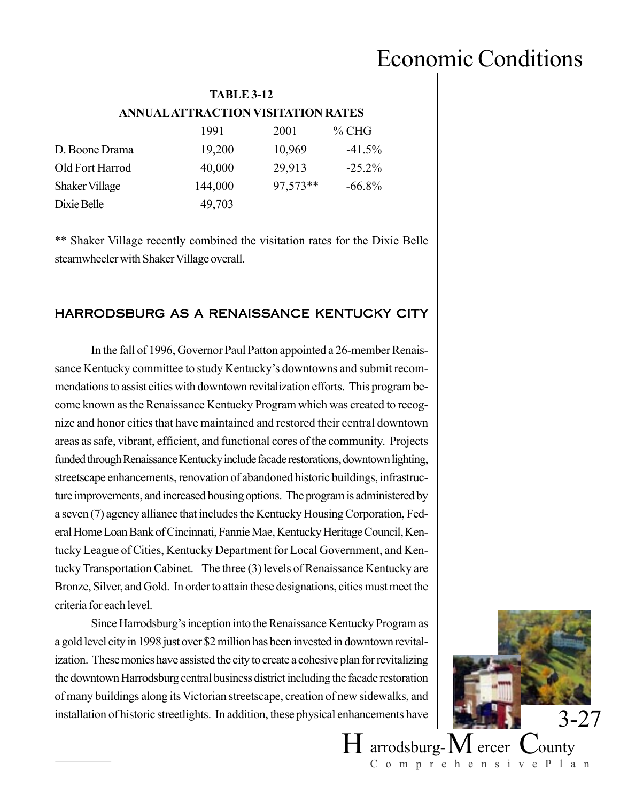| <b>TABLE 3-12</b>                  |      |      |       |  |
|------------------------------------|------|------|-------|--|
| ANNUAL ATTRACTION VISITATION RATES |      |      |       |  |
|                                    | 1991 | 2001 | % CHG |  |

|                       | 177 L   | 2001     | 70 V.H    |
|-----------------------|---------|----------|-----------|
| D. Boone Drama        | 19,200  | 10,969   | $-41.5\%$ |
| Old Fort Harrod       | 40,000  | 29,913   | $-25.2\%$ |
| <b>Shaker Village</b> | 144,000 | 97,573** | $-66.8\%$ |
| Dixie Belle           | 49,703  |          |           |

\*\* Shaker Village recently combined the visitation rates for the Dixie Belle stearnwheeler with Shaker Village overall.

#### HARRODSBURG AS A RENAISSANCE KENTUCKY CITY

In the fall of 1996, Governor Paul Patton appointed a 26-member Renaissance Kentucky committee to study Kentucky's downtowns and submit recommendations to assist cities with downtown revitalization efforts. This program become known as the Renaissance Kentucky Program which was created to recognize and honor cities that have maintained and restored their central downtown areas as safe, vibrant, efficient, and functional cores of the community. Projects funded through Renaissance Kentucky include facade restorations, downtown lighting, streetscape enhancements, renovation of abandoned historic buildings, infrastructure improvements, and increased housing options. The program is administered by a seven (7) agency alliance that includes the Kentucky Housing Corporation, Federal Home Loan Bank of Cincinnati, Fannie Mae, Kentucky Heritage Council, Kentucky League of Cities, Kentucky Department for Local Government, and Kentucky Transportation Cabinet. The three (3) levels of Renaissance Kentucky are Bronze, Silver, and Gold. In order to attain these designations, cities must meet the criteria for each level.

Since Harrodsburg's inception into the Renaissance Kentucky Program as a gold level city in 1998 just over \$2 million has been invested in downtown revitalization. These monies have assisted the city to create a cohesive plan for revitalizing the downtown Harrodsburg central business district including the facade restoration of many buildings along its Victorian streetscape, creation of new sidewalks, and installation of historic streetlights. In addition, these physical enhancements have

![](_page_20_Picture_7.jpeg)